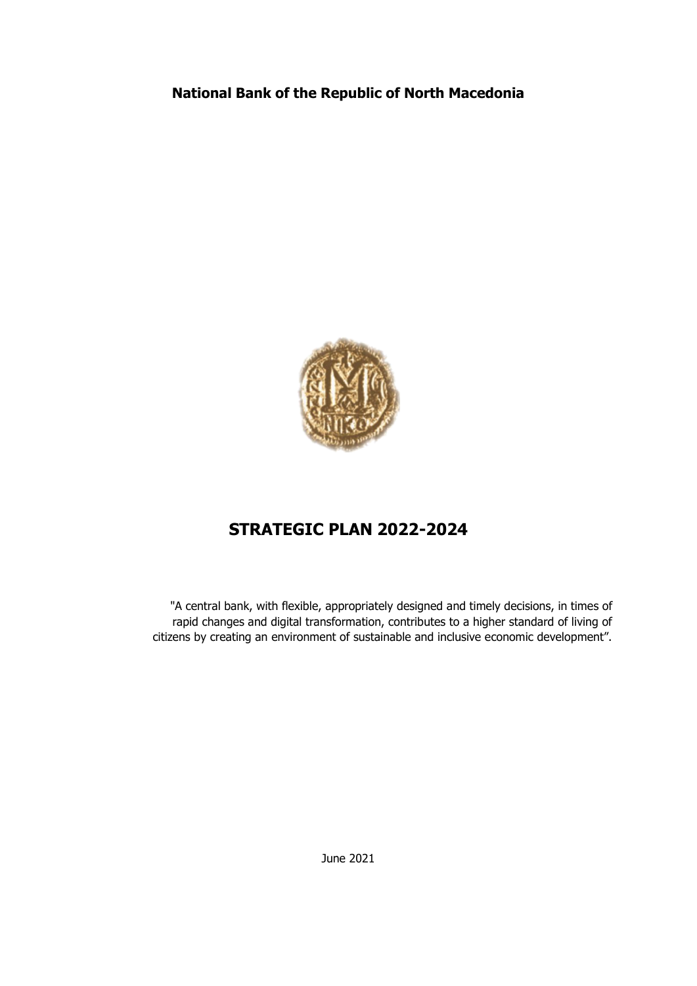## **National Bank of the Republic of North Macedonia**



# **STRATEGIC PLAN 2022-2024**

"A central bank, with flexible, appropriately designed and timely decisions, in times of rapid changes and digital transformation, contributes to a higher standard of living of citizens by creating an environment of sustainable and inclusive economic development".

June 2021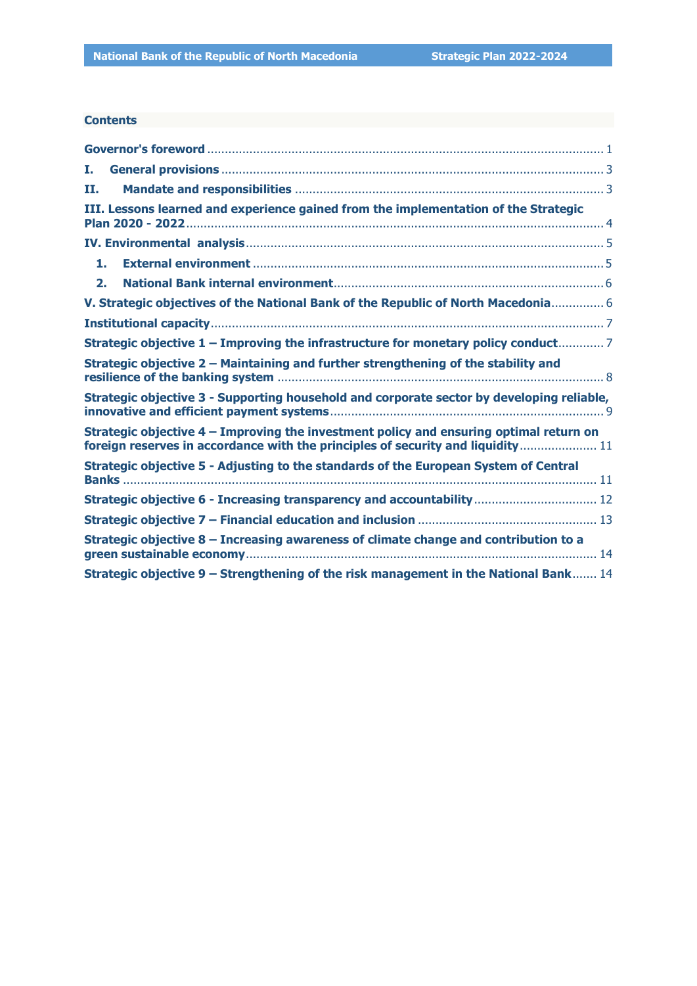#### **Contents**

| Ι.                                                                                                                                                                        |
|---------------------------------------------------------------------------------------------------------------------------------------------------------------------------|
| п.                                                                                                                                                                        |
| III. Lessons learned and experience gained from the implementation of the Strategic                                                                                       |
|                                                                                                                                                                           |
| 1.                                                                                                                                                                        |
| 2.                                                                                                                                                                        |
| V. Strategic objectives of the National Bank of the Republic of North Macedonia 6                                                                                         |
|                                                                                                                                                                           |
| Strategic objective 1 - Improving the infrastructure for monetary policy conduct 7                                                                                        |
| Strategic objective 2 - Maintaining and further strengthening of the stability and                                                                                        |
| Strategic objective 3 - Supporting household and corporate sector by developing reliable,                                                                                 |
| Strategic objective 4 – Improving the investment policy and ensuring optimal return on<br>foreign reserves in accordance with the principles of security and liquidity 11 |
| Strategic objective 5 - Adjusting to the standards of the European System of Central                                                                                      |
| Strategic objective 6 - Increasing transparency and accountability  12                                                                                                    |
|                                                                                                                                                                           |
| Strategic objective 8 - Increasing awareness of climate change and contribution to a                                                                                      |
| Strategic objective 9 – Strengthening of the risk management in the National Bank 14                                                                                      |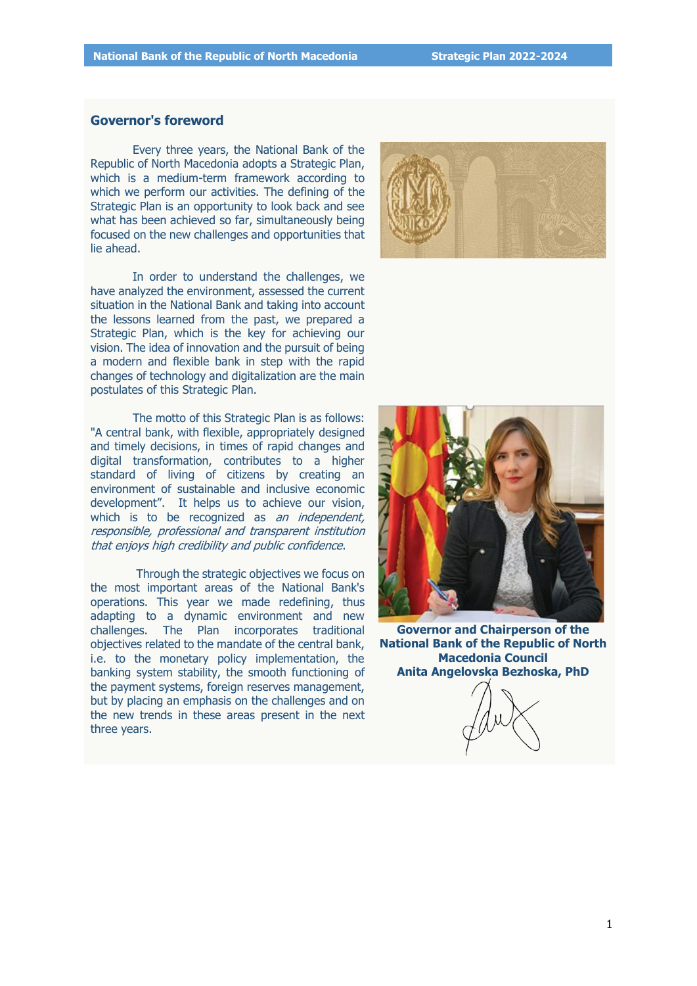#### <span id="page-2-0"></span>**Governor's foreword**

Every three years, the National Bank of the Republic of North Macedonia adopts a Strategic Plan, which is a medium-term framework according to which we perform our activities. The defining of the Strategic Plan is an opportunity to look back and see what has been achieved so far, simultaneously being focused on the new challenges and opportunities that lie ahead.

In order to understand the challenges, we have analyzed the environment, assessed the current situation in the National Bank and taking into account the lessons learned from the past, we prepared a Strategic Plan, which is the key for achieving our vision. The idea of innovation and the pursuit of being a modern and flexible bank in step with the rapid changes of technology and digitalization are the main postulates of this Strategic Plan.

The motto of this Strategic Plan is as follows: "A central bank, with flexible, appropriately designed and timely decisions, in times of rapid changes and digital transformation, contributes to a higher standard of living of citizens by creating an environment of sustainable and inclusive economic development". It helps us to achieve our vision, which is to be recognized as an independent, responsible, professional and transparent institution that enjoys high credibility and public confidence.

Through the strategic objectives we focus on the most important areas of the National Bank's operations. This year we made redefining, thus adapting to a dynamic environment and new challenges. The Plan incorporates traditional objectives related to the mandate of the central bank, i.e. to the monetary policy implementation, the banking system stability, the smooth functioning of the payment systems, foreign reserves management, but by placing an emphasis on the challenges and on the new trends in these areas present in the next three years.





**Governor and Chairperson of the National Bank of the Republic of North Macedonia Council Anita Angelovska Bezhoska, PhD**

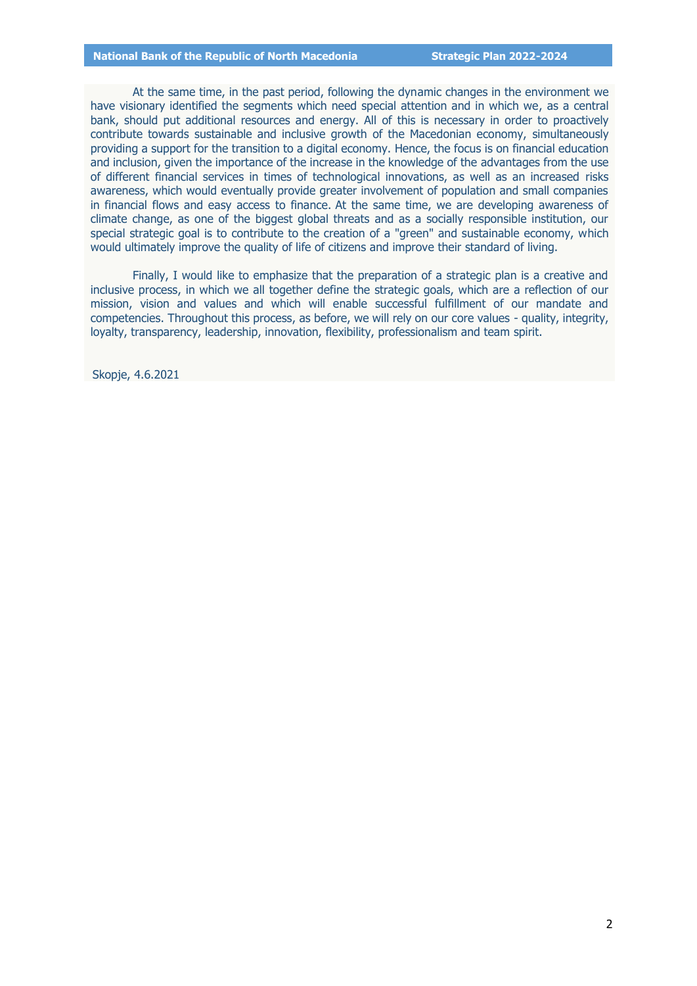#### **National Bank of the Republic of North Macedonia Strategic Plan 2022-2024**

At the same time, in the past period, following the dynamic changes in the environment we have visionary identified the segments which need special attention and in which we, as a central bank, should put additional resources and energy. All of this is necessary in order to proactively contribute towards sustainable and inclusive growth of the Macedonian economy, simultaneously providing a support for the transition to a digital economy. Hence, the focus is on financial education and inclusion, given the importance of the increase in the knowledge of the advantages from the use of different financial services in times of technological innovations, as well as an increased risks awareness, which would eventually provide greater involvement of population and small companies in financial flows and easy access to finance. At the same time, we are developing awareness of climate change, as one of the biggest global threats and as a socially responsible institution, our special strategic goal is to contribute to the creation of a "green" and sustainable economy, which would ultimately improve the quality of life of citizens and improve their standard of living.

Finally, I would like to emphasize that the preparation of a strategic plan is a creative and inclusive process, in which we all together define the strategic goals, which are a reflection of our mission, vision and values and which will enable successful fulfillment of our mandate and competencies. Throughout this process, as before, we will rely on our core values - quality, integrity, loyalty, transparency, leadership, innovation, flexibility, professionalism and team spirit.

Skopje, 4.6.2021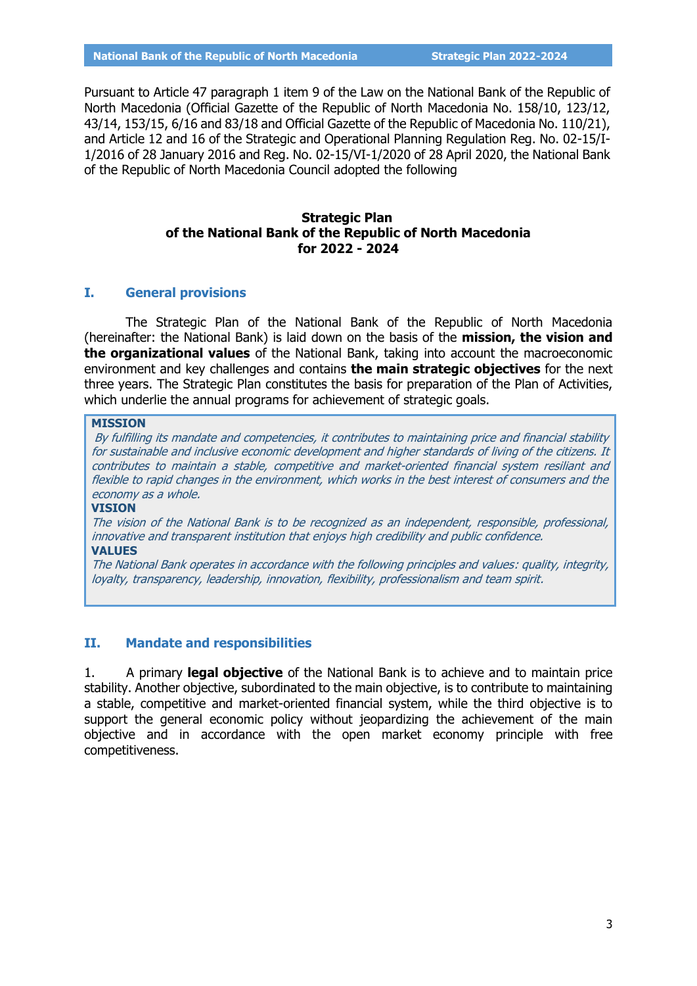Pursuant to Article 47 paragraph 1 item 9 of the Law on the National Bank of the Republic of North Macedonia (Official Gazette of the Republic of North Macedonia No. 158/10, 123/12, 43/14, 153/15, 6/16 and 83/18 and Official Gazette of the Republic of Macedonia No. 110/21), and Article 12 and 16 of the Strategic and Operational Planning Regulation Reg. No. 02-15/I-1/2016 of 28 January 2016 and Reg. No. 02-15/VI-1/2020 of 28 April 2020, the National Bank of the Republic of North Macedonia Council adopted the following

## **Strategic Plan of the National Bank of the Republic of North Macedonia for 2022 - 2024**

### <span id="page-4-0"></span>**I. General provisions**

The Strategic Plan of the National Bank of the Republic of North Macedonia (hereinafter: the National Bank) is laid down on the basis of the **mission, the vision and the organizational values** of the National Bank, taking into account the macroeconomic environment and key challenges and contains **the main strategic objectives** for the next three years. The Strategic Plan constitutes the basis for preparation of the Plan of Activities, which underlie the annual programs for achievement of strategic goals.

#### **MISSION**

By fulfilling its mandate and competencies, it contributes to maintaining price and financial stability for sustainable and inclusive economic development and higher standards of living of the citizens. It contributes to maintain a stable, competitive and market-oriented financial system resiliant and flexible to rapid changes in the environment, which works in the best interest of consumers and the economy as a whole.

#### **VISION**

The vision of the National Bank is to be recognized as an independent, responsible, professional, innovative and transparent institution that enjoys high credibility and public confidence. **VALUES**

The National Bank operates in accordance with the following principles and values: quality, integrity, loyalty, transparency, leadership, innovation, flexibility, professionalism and team spirit.

#### <span id="page-4-1"></span>**II. Mandate and responsibilities**

1. A primary **legal objective** of the National Bank is to achieve and to maintain price stability. Another objective, subordinated to the main objective, is to contribute to maintaining a stable, competitive and market-oriented financial system, while the third objective is to support the general economic policy without jeopardizing the achievement of the main objective and in accordance with the open market economy principle with free competitiveness.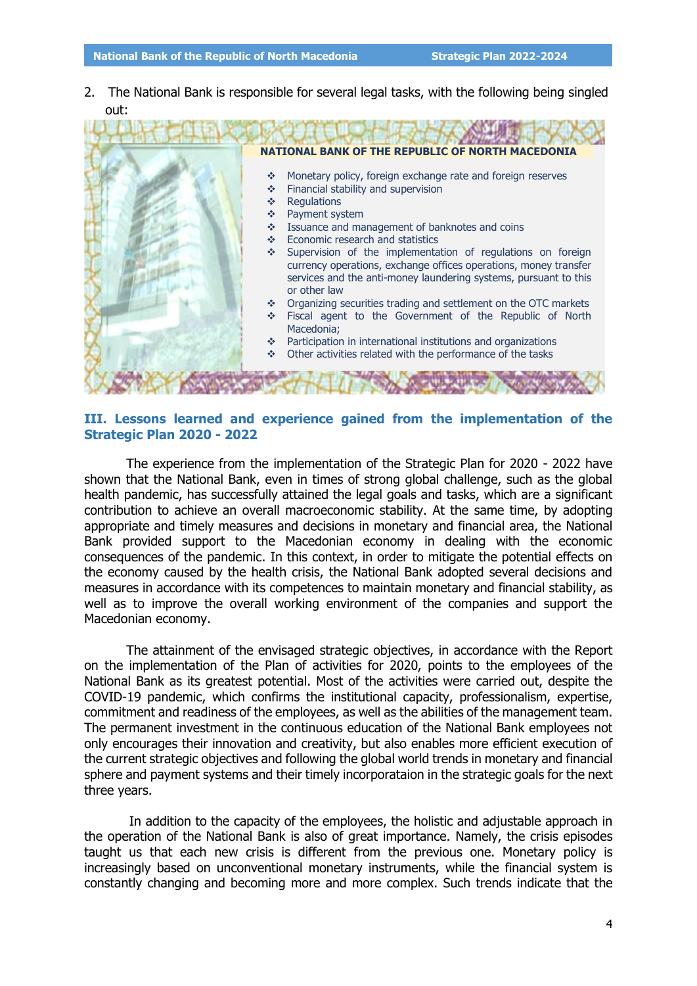2. The National Bank is responsible for several legal tasks, with the following being singled out:



### <span id="page-5-0"></span>**III. Lessons learned and experience gained from the implementation of the Strategic Plan 2020 - 2022**

The experience from the implementation of the Strategic Plan for 2020 - 2022 have shown that the National Bank, even in times of strong global challenge, such as the global health pandemic, has successfully attained the legal goals and tasks, which are a significant contribution to achieve an overall macroeconomic stability. At the same time, by adopting appropriate and timely measures and decisions in monetary and financial area, the National Bank provided support to the Macedonian economy in dealing with the economic consequences of the pandemic. In this context, in order to mitigate the potential effects on the economy caused by the health crisis, the National Bank adopted several decisions and measures in accordance with its competences to maintain monetary and financial stability, as well as to improve the overall working environment of the companies and support the Macedonian economy.

The attainment of the envisaged strategic objectives, in accordance with the Report on the implementation of the Plan of activities for 2020, points to the employees of the National Bank as its greatest potential. Most of the activities were carried out, despite the COVID-19 pandemic, which confirms the institutional capacity, professionalism, expertise, commitment and readiness of the employees, as well as the abilities of the management team. The permanent investment in the continuous education of the National Bank employees not only encourages their innovation and creativity, but also enables more efficient execution of the current strategic objectives and following the global world trends in monetary and financial sphere and payment systems and their timely incorporataion in the strategic goals for the next three years.

In addition to the capacity of the employees, the holistic and adjustable approach in the operation of the National Bank is also of great importance. Namely, the crisis episodes taught us that each new crisis is different from the previous one. Monetary policy is increasingly based on unconventional monetary instruments, while the financial system is constantly changing and becoming more and more complex. Such trends indicate that the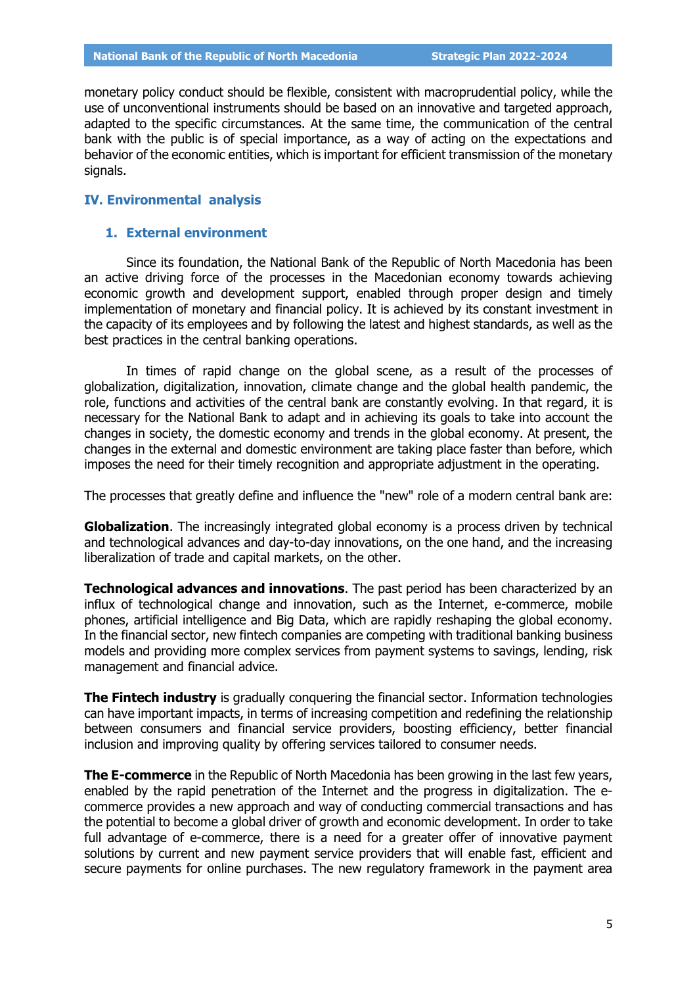monetary policy conduct should be flexible, consistent with macroprudential policy, while the use of unconventional instruments should be based on an innovative and targeted approach, adapted to the specific circumstances. At the same time, the communication of the central bank with the public is of special importance, as a way of acting on the expectations and behavior of the economic entities, which is important for efficient transmission of the monetary signals.

#### <span id="page-6-0"></span>**IV. Environmental analysis**

#### <span id="page-6-1"></span>**1. External environment**

Since its foundation, the National Bank of the Republic of North Macedonia has been an active driving force of the processes in the Macedonian economy towards achieving economic growth and development support, enabled through proper design and timely implementation of monetary and financial policy. It is achieved by its constant investment in the capacity of its employees and by following the latest and highest standards, as well as the best practices in the central banking operations.

In times of rapid change on the global scene, as a result of the processes of globalization, digitalization, innovation, climate change and the global health pandemic, the role, functions and activities of the central bank are constantly evolving. In that regard, it is necessary for the National Bank to adapt and in achieving its goals to take into account the changes in society, the domestic economy and trends in the global economy. At present, the changes in the external and domestic environment are taking place faster than before, which imposes the need for their timely recognition and appropriate adjustment in the operating.

The processes that greatly define and influence the "new" role of a modern central bank are:

**Globalization**. The increasingly integrated global economy is a process driven by technical and technological advances and day-to-day innovations, on the one hand, and the increasing liberalization of trade and capital markets, on the other.

**Technological advances and innovations**. The past period has been characterized by an influx of technological change and innovation, such as the Internet, e-commerce, mobile phones, artificial intelligence and Big Data, which are rapidly reshaping the global economy. In the financial sector, new fintech companies are competing with traditional banking business models and providing more complex services from payment systems to savings, lending, risk management and financial advice.

**The Fintech industry** is gradually conquering the financial sector. Information technologies can have important impacts, in terms of increasing competition and redefining the relationship between consumers and financial service providers, boosting efficiency, better financial inclusion and improving quality by offering services tailored to consumer needs.

**The E-commerce** in the Republic of North Macedonia has been growing in the last few years, enabled by the rapid penetration of the Internet and the progress in digitalization. The ecommerce provides a new approach and way of conducting commercial transactions and has the potential to become a global driver of growth and economic development. In order to take full advantage of e-commerce, there is a need for a greater offer of innovative payment solutions by current and new payment service providers that will enable fast, efficient and secure payments for online purchases. The new regulatory framework in the payment area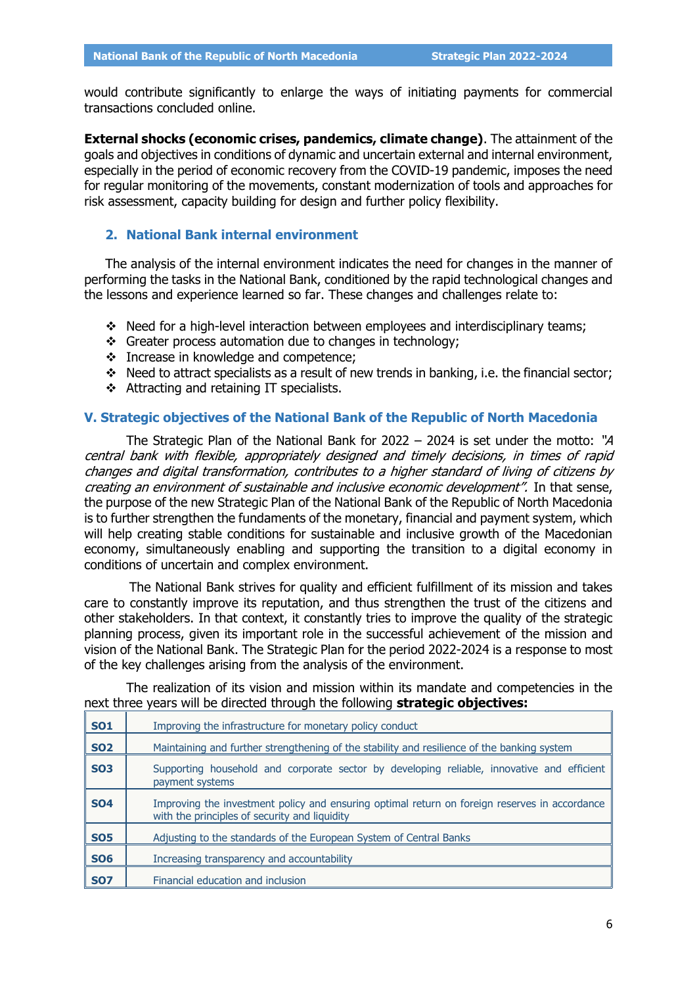would contribute significantly to enlarge the ways of initiating payments for commercial transactions concluded online.

**External shocks (economic crises, pandemics, climate change)**. The attainment of the goals and objectives in conditions of dynamic and uncertain external and internal environment, especially in the period of economic recovery from the COVID-19 pandemic, imposes the need for regular monitoring of the movements, constant modernization of tools and approaches for risk assessment, capacity building for design and further policy flexibility.

## <span id="page-7-0"></span>**2. National Bank internal environment**

The analysis of the internal environment indicates the need for changes in the manner of performing the tasks in the National Bank, conditioned by the rapid technological changes and the lessons and experience learned so far. These changes and challenges relate to:

- \* Need for a high-level interaction between employees and interdisciplinary teams;
- Greater process automation due to changes in technology;
- \* Increase in knowledge and competence;
- $\cdot \cdot$  Need to attract specialists as a result of new trends in banking, i.e. the financial sector;
- $\div$  Attracting and retaining IT specialists.

#### <span id="page-7-1"></span>**V. Strategic objectives of the National Bank of the Republic of North Macedonia**

The Strategic Plan of the National Bank for 2022 – 2024 is set under the motto: "A central bank with flexible, appropriately designed and timely decisions, in times of rapid changes and digital transformation, contributes to a higher standard of living of citizens by creating an environment of sustainable and inclusive economic development". In that sense, the purpose of the new Strategic Plan of the National Bank of the Republic of North Macedonia is to further strengthen the fundaments of the monetary, financial and payment system, which will help creating stable conditions for sustainable and inclusive growth of the Macedonian economy, simultaneously enabling and supporting the transition to a digital economy in conditions of uncertain and complex environment.

The National Bank strives for quality and efficient fulfillment of its mission and takes care to constantly improve its reputation, and thus strengthen the trust of the citizens and other stakeholders. In that context, it constantly tries to improve the quality of the strategic planning process, given its important role in the successful achievement of the mission and vision of the National Bank. The Strategic Plan for the period 2022-2024 is a response to most of the key challenges arising from the analysis of the environment.

|  |  |                                                                                      | The realization of its vision and mission within its mandate and competencies in the |  |
|--|--|--------------------------------------------------------------------------------------|--------------------------------------------------------------------------------------|--|
|  |  | next three years will be directed through the following <b>strategic objectives:</b> |                                                                                      |  |

| <b>SO1</b> | Improving the infrastructure for monetary policy conduct                                                                                       |
|------------|------------------------------------------------------------------------------------------------------------------------------------------------|
| <b>SO2</b> | Maintaining and further strengthening of the stability and resilience of the banking system                                                    |
| <b>SO3</b> | Supporting household and corporate sector by developing reliable, innovative and efficient<br>payment systems                                  |
| <b>SO4</b> | Improving the investment policy and ensuring optimal return on foreign reserves in accordance<br>with the principles of security and liquidity |
| <b>SO5</b> | Adjusting to the standards of the European System of Central Banks                                                                             |
| <b>SO6</b> | Increasing transparency and accountability                                                                                                     |
| <b>SO7</b> | Financial education and inclusion                                                                                                              |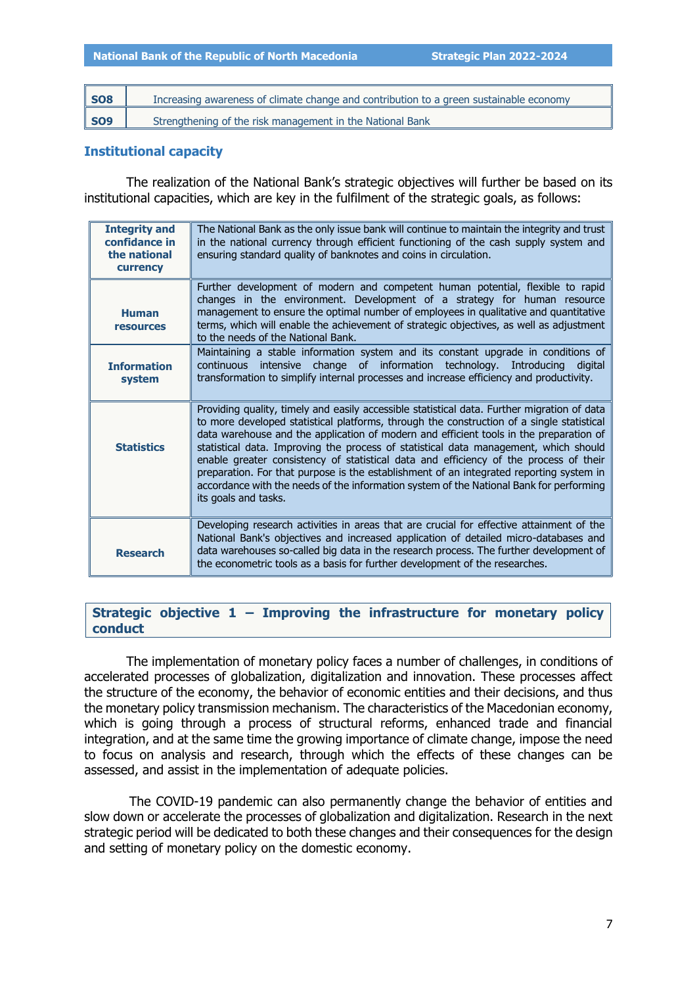| <b>SO8</b> | Increasing awareness of climate change and contribution to a green sustainable economy |
|------------|----------------------------------------------------------------------------------------|
| <b>SO9</b> | Strengthening of the risk management in the National Bank                              |

## <span id="page-8-0"></span>**Institutional capacity**

The realization of the National Bank's strategic objectives will further be based on its institutional capacities, which are key in the fulfilment of the strategic goals, as follows:

| <b>Integrity and</b><br>confidance in<br>the national<br>currency | The National Bank as the only issue bank will continue to maintain the integrity and trust<br>in the national currency through efficient functioning of the cash supply system and<br>ensuring standard quality of banknotes and coins in circulation.                                                                                                                                                                                                                                                                                                                                                                                                                            |
|-------------------------------------------------------------------|-----------------------------------------------------------------------------------------------------------------------------------------------------------------------------------------------------------------------------------------------------------------------------------------------------------------------------------------------------------------------------------------------------------------------------------------------------------------------------------------------------------------------------------------------------------------------------------------------------------------------------------------------------------------------------------|
| <b>Human</b><br><b>resources</b>                                  | Further development of modern and competent human potential, flexible to rapid<br>changes in the environment. Development of a strategy for human resource<br>management to ensure the optimal number of employees in qualitative and quantitative<br>terms, which will enable the achievement of strategic objectives, as well as adjustment<br>to the needs of the National Bank.                                                                                                                                                                                                                                                                                               |
| <b>Information</b><br>system                                      | Maintaining a stable information system and its constant upgrade in conditions of<br>intensive change of information technology. Introducing<br>continuous<br>digital<br>transformation to simplify internal processes and increase efficiency and productivity.                                                                                                                                                                                                                                                                                                                                                                                                                  |
| <b>Statistics</b>                                                 | Providing quality, timely and easily accessible statistical data. Further migration of data<br>to more developed statistical platforms, through the construction of a single statistical<br>data warehouse and the application of modern and efficient tools in the preparation of<br>statistical data. Improving the process of statistical data management, which should<br>enable greater consistency of statistical data and efficiency of the process of their<br>preparation. For that purpose is the establishment of an integrated reporting system in<br>accordance with the needs of the information system of the National Bank for performing<br>its goals and tasks. |
| <b>Research</b>                                                   | Developing research activities in areas that are crucial for effective attainment of the<br>National Bank's objectives and increased application of detailed micro-databases and<br>data warehouses so-called big data in the research process. The further development of<br>the econometric tools as a basis for further development of the researches.                                                                                                                                                                                                                                                                                                                         |

## <span id="page-8-1"></span>**Strategic objective 1 – Improving the infrastructure for monetary policy conduct**

The implementation of monetary policy faces a number of challenges, in conditions of accelerated processes of globalization, digitalization and innovation. These processes affect the structure of the economy, the behavior of economic entities and their decisions, and thus the monetary policy transmission mechanism. The characteristics of the Macedonian economy, which is going through a process of structural reforms, enhanced trade and financial integration, and at the same time the growing importance of climate change, impose the need to focus on analysis and research, through which the effects of these changes can be assessed, and assist in the implementation of adequate policies.

The COVID-19 pandemic can also permanently change the behavior of entities and slow down or accelerate the processes of globalization and digitalization. Research in the next strategic period will be dedicated to both these changes and their consequences for the design and setting of monetary policy on the domestic economy.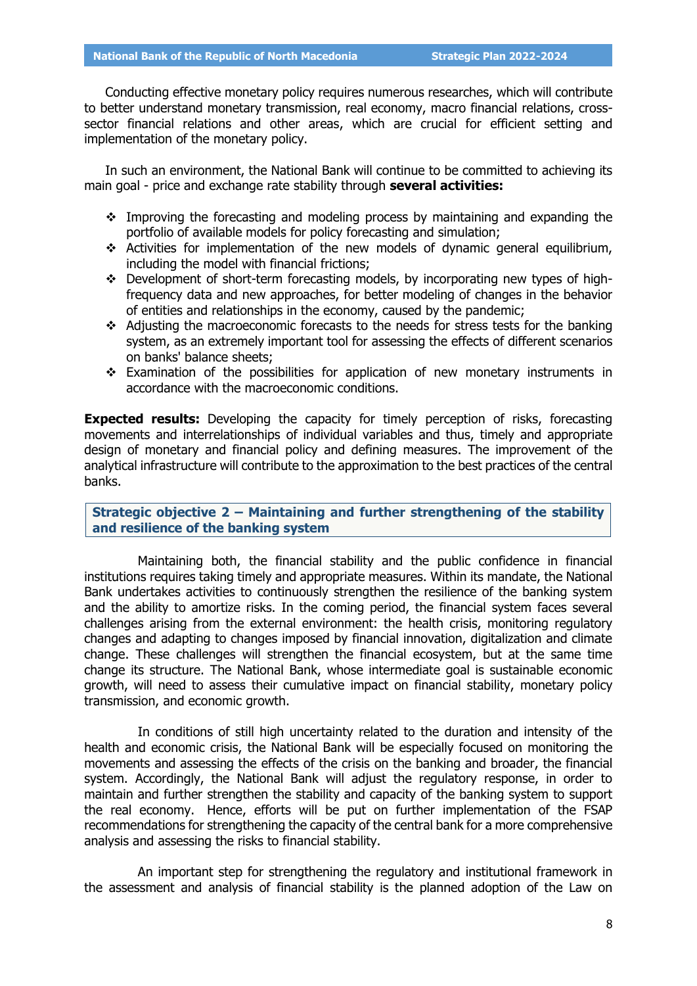Conducting effective monetary policy requires numerous researches, which will contribute to better understand monetary transmission, real economy, macro financial relations, crosssector financial relations and other areas, which are crucial for efficient setting and implementation of the monetary policy.

In such an environment, the National Bank will continue to be committed to achieving its main goal - price and exchange rate stability through **several activities:**

- Improving the forecasting and modeling process by maintaining and expanding the portfolio of available models for policy forecasting and simulation;
- Activities for implementation of the new models of dynamic general equilibrium, including the model with financial frictions;
- Development of short-term forecasting models, by incorporating new types of highfrequency data and new approaches, for better modeling of changes in the behavior of entities and relationships in the economy, caused by the pandemic;
- Adjusting the macroeconomic forecasts to the needs for stress tests for the banking system, as an extremely important tool for assessing the effects of different scenarios on banks' balance sheets;
- Examination of the possibilities for application of new monetary instruments in accordance with the macroeconomic conditions.

**Expected results:** Developing the capacity for timely perception of risks, forecasting movements and interrelationships of individual variables and thus, timely and appropriate design of monetary and financial policy and defining measures. The improvement of the analytical infrastructure will contribute to the approximation to the best practices of the central banks.

<span id="page-9-0"></span>**Strategic objective 2 – Maintaining and further strengthening of the stability and resilience of the banking system**

Maintaining both, the financial stability and the public confidence in financial institutions requires taking timely and appropriate measures. Within its mandate, the National Bank undertakes activities to continuously strengthen the resilience of the banking system and the ability to amortize risks. In the coming period, the financial system faces several challenges arising from the external environment: the health crisis, monitoring regulatory changes and adapting to changes imposed by financial innovation, digitalization and climate change. These challenges will strengthen the financial ecosystem, but at the same time change its structure. The National Bank, whose intermediate goal is sustainable economic growth, will need to assess their cumulative impact on financial stability, monetary policy transmission, and economic growth.

In conditions of still high uncertainty related to the duration and intensity of the health and economic crisis, the National Bank will be especially focused on monitoring the movements and assessing the effects of the crisis on the banking and broader, the financial system. Accordingly, the National Bank will adjust the regulatory response, in order to maintain and further strengthen the stability and capacity of the banking system to support the real economy. Hence, efforts will be put on further implementation of the FSAP recommendations for strengthening the capacity of the central bank for a more comprehensive analysis and assessing the risks to financial stability.

An important step for strengthening the regulatory and institutional framework in the assessment and analysis of financial stability is the planned adoption of the Law on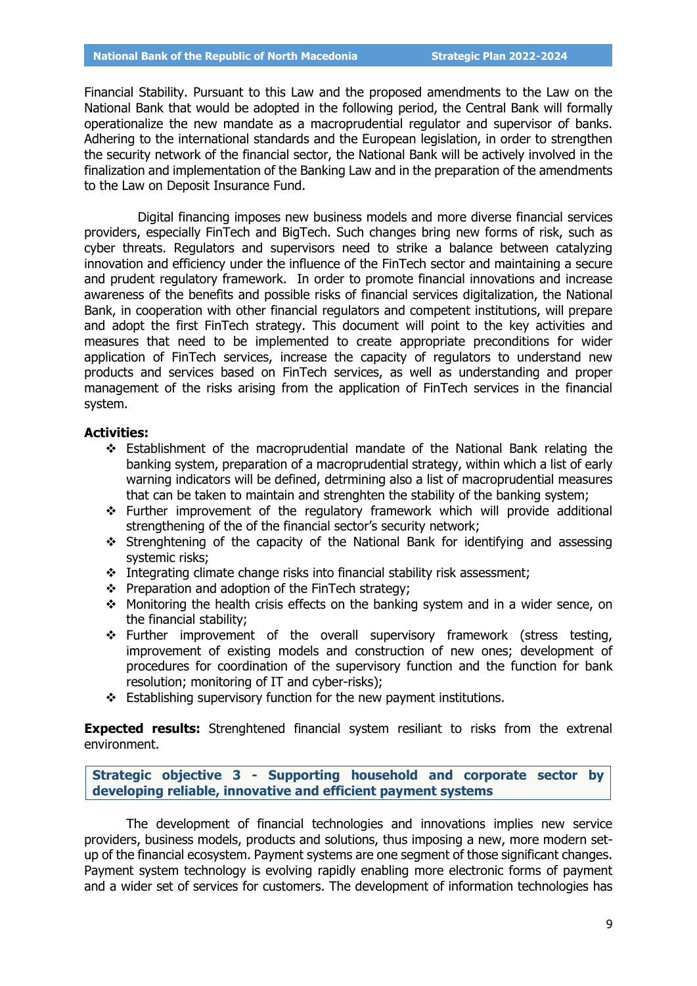Financial Stability. Pursuant to this Law and the proposed amendments to the Law on the National Bank that would be adopted in the following period, the Central Bank will formally operationalize the new mandate as a macroprudential regulator and supervisor of banks. Adhering to the international standards and the European legislation, in order to strengthen the security network of the financial sector, the National Bank will be actively involved in the finalization and implementation of the Banking Law and in the preparation of the amendments to the Law on Deposit Insurance Fund.

Digital financing imposes new business models and more diverse financial services providers, especially FinTech and BigTech. Such changes bring new forms of risk, such as cyber threats. Regulators and supervisors need to strike a balance between catalyzing innovation and efficiency under the influence of the FinTech sector and maintaining a secure and prudent regulatory framework. In order to promote financial innovations and increase awareness of the benefits and possible risks of financial services digitalization, the National Bank, in cooperation with other financial regulators and competent institutions, will prepare and adopt the first FinTech strategy. This document will point to the key activities and measures that need to be implemented to create appropriate preconditions for wider application of FinTech services, increase the capacity of regulators to understand new products and services based on FinTech services, as well as understanding and proper management of the risks arising from the application of FinTech services in the financial system.

### **Activities:**

- Establishment of the macroprudential mandate of the National Bank relating the banking system, preparation of a macroprudential strategy, within which a list of early warning indicators will be defined, detrmining also a list of macroprudential measures that can be taken to maintain and strenghten the stability of the banking system;
- $\div$  Further improvement of the regulatory framework which will provide additional strengthening of the of the financial sector's security network;
- Strenghtening of the capacity of the National Bank for identifying and assessing systemic risks;
- $\cdot$  Integrating climate change risks into financial stability risk assessment;
- $\div$  Preparation and adoption of the FinTech strategy;
- Monitoring the health crisis effects on the banking system and in a wider sence, on the financial stability;
- Further improvement of the overall supervisory framework (stress testing, improvement of existing models and construction of new ones; development of procedures for coordination of the supervisory function and the function for bank resolution; monitoring of IT and cyber-risks);
- \* Establishing supervisory function for the new payment institutions.

**Expected results:** Strenghtened financial system resiliant to risks from the extrenal environment.

<span id="page-10-0"></span>**Strategic objective 3 - Supporting household and corporate sector by developing reliable, innovative and efficient payment systems**

The development of financial technologies and innovations implies new service providers, business models, products and solutions, thus imposing a new, more modern setup of the financial ecosystem. Payment systems are one segment of those significant changes. Payment system technology is evolving rapidly enabling more electronic forms of payment and a wider set of services for customers. The development of information technologies has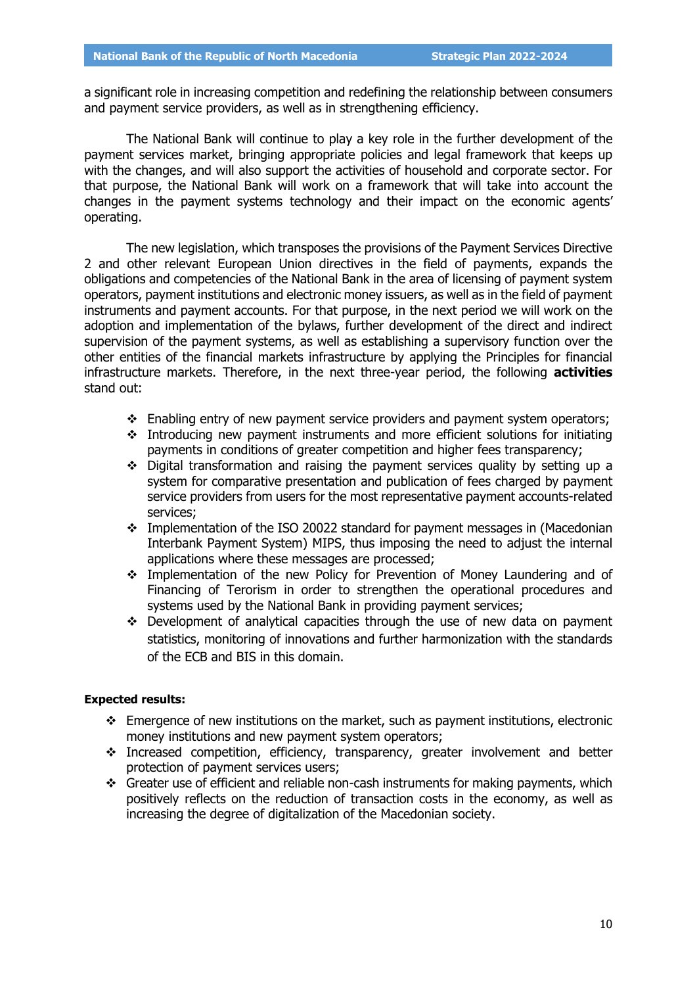a significant role in increasing competition and redefining the relationship between consumers and payment service providers, as well as in strengthening efficiency.

The National Bank will continue to play a key role in the further development of the payment services market, bringing appropriate policies and legal framework that keeps up with the changes, and will also support the activities of household and corporate sector. For that purpose, the National Bank will work on a framework that will take into account the changes in the payment systems technology and their impact on the economic agents' operating.

The new legislation, which transposes the provisions of the Payment Services Directive 2 and other relevant European Union directives in the field of payments, expands the obligations and competencies of the National Bank in the area of licensing of payment system operators, payment institutions and electronic money issuers, as well as in the field of payment instruments and payment accounts. For that purpose, in the next period we will work on the adoption and implementation of the bylaws, further development of the direct and indirect supervision of the payment systems, as well as establishing a supervisory function over the other entities of the financial markets infrastructure by applying the Principles for financial infrastructure markets. Therefore, in the next three-year period, the following **activities** stand out:

- \* Enabling entry of new payment service providers and payment system operators;
- Introducing new payment instruments and more efficient solutions for initiating payments in conditions of greater competition and higher fees transparency;
- Digital transformation and raising the payment services quality by setting up a system for comparative presentation and publication of fees charged by payment service providers from users for the most representative payment accounts-related services;
- $\div$  Implementation of the ISO 20022 standard for payment messages in (Macedonian Interbank Payment System) MIPS, thus imposing the need to adjust the internal applications where these messages are processed;
- Implementation of the new Policy for Prevention of Money Laundering and of Financing of Terorism in order to strengthen the operational procedures and systems used by the National Bank in providing payment services;
- \* Development of analytical capacities through the use of new data on payment statistics, monitoring of innovations and further harmonization with the standards of the ECB and BIS in this domain.

## **Expected results:**

- $\div$  Emergence of new institutions on the market, such as payment institutions, electronic money institutions and new payment system operators;
- Increased competition, efficiency, transparency, greater involvement and better protection of payment services users;
- Greater use of efficient and reliable non-cash instruments for making payments, which positively reflects on the reduction of transaction costs in the economy, as well as increasing the degree of digitalization of the Macedonian society.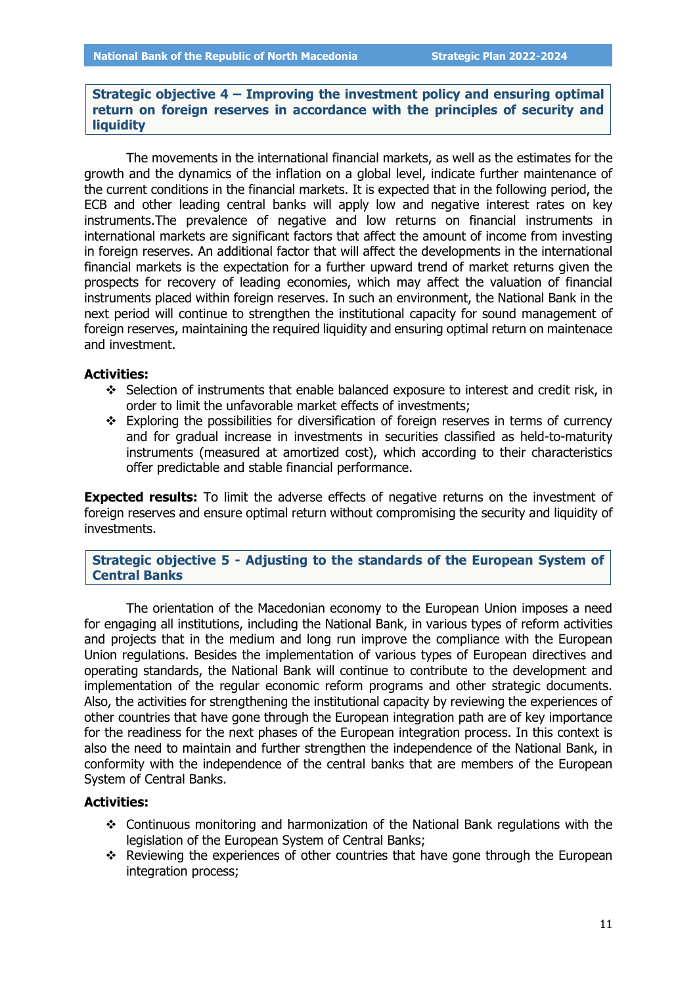<span id="page-12-0"></span>**Strategic objective 4 ‒ Improving the investment policy and ensuring optimal return on foreign reserves in accordance with the principles of security and liquidity**

The movements in the international financial markets, as well as the estimates for the growth and the dynamics of the inflation on a global level, indicate further maintenance of the current conditions in the financial markets. It is expected that in the following period, the ECB and other leading central banks will apply low and negative interest rates on key instruments.The prevalence of negative and low returns on financial instruments in international markets are significant factors that affect the amount of income from investing in foreign reserves. An additional factor that will affect the developments in the international financial markets is the expectation for a further upward trend of market returns given the prospects for recovery of leading economies, which may affect the valuation of financial instruments placed within foreign reserves. In such an environment, the National Bank in the next period will continue to strengthen the institutional capacity for sound management of foreign reserves, maintaining the required liquidity and ensuring optimal return on maintenace and investment.

#### **Activities:**

- Selection of instruments that enable balanced exposure to interest and credit risk, in order to limit the unfavorable market effects of investments;
- $\div$  Exploring the possibilities for diversification of foreign reserves in terms of currency and for gradual increase in investments in securities classified as held-to-maturity instruments (measured at amortized cost), which according to their characteristics offer predictable and stable financial performance.

**Expected results:** To limit the adverse effects of negative returns on the investment of foreign reserves and ensure optimal return without compromising the security and liquidity of investments.

<span id="page-12-1"></span>**Strategic objective 5 - Adjusting to the standards of the European System of Central Banks**

The orientation of the Macedonian economy to the European Union imposes a need for engaging all institutions, including the National Bank, in various types of reform activities and projects that in the medium and long run improve the compliance with the European Union regulations. Besides the implementation of various types of European directives and operating standards, the National Bank will continue to contribute to the development and implementation of the regular economic reform programs and other strategic documents. Also, the activities for strengthening the institutional capacity by reviewing the experiences of other countries that have gone through the European integration path are of key importance for the readiness for the next phases of the European integration process. In this context is also the need to maintain and further strengthen the independence of the National Bank, in conformity with the independence of the central banks that are members of the European System of Central Banks.

#### **Activities:**

- $\div$  Continuous monitoring and harmonization of the National Bank regulations with the legislation of the European System of Central Banks;
- \* Reviewing the experiences of other countries that have gone through the European integration process;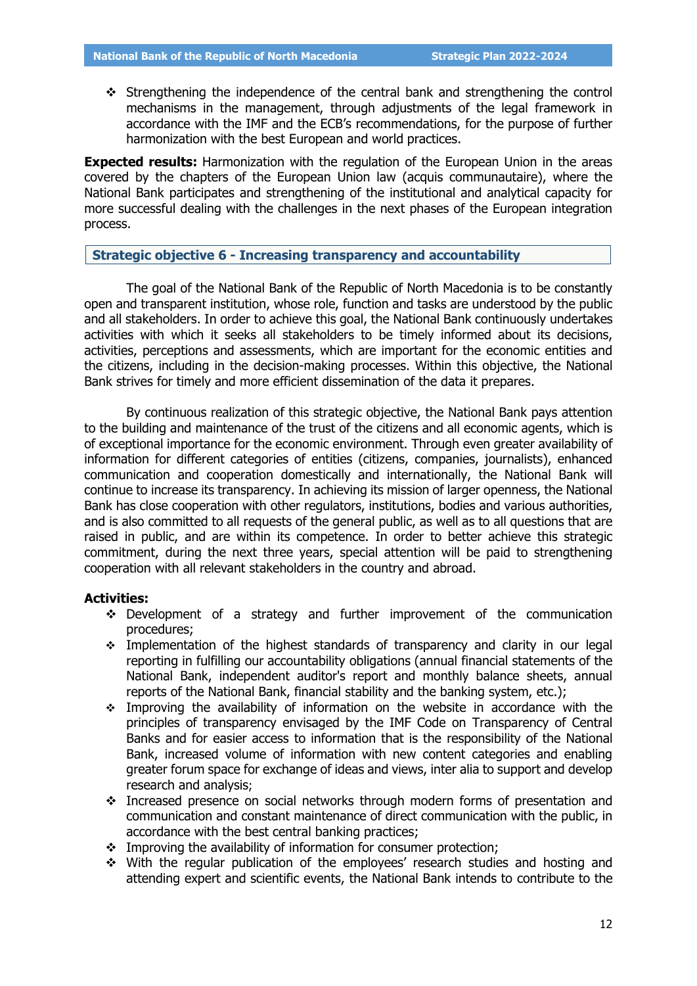Strengthening the independence of the central bank and strengthening the control mechanisms in the management, through adjustments of the legal framework in accordance with the IMF and the ECB's recommendations, for the purpose of further harmonization with the best European and world practices.

**Expected results:** Harmonization with the regulation of the European Union in the areas covered by the chapters of the European Union law (acquis communautaire), where the National Bank participates and strengthening of the institutional and analytical capacity for more successful dealing with the challenges in the next phases of the European integration process.

#### <span id="page-13-0"></span>**Strategic objective 6 - Increasing transparency and accountability**

The goal of the National Bank of the Republic of North Macedonia is to be constantly open and transparent institution, whose role, function and tasks are understood by the public and all stakeholders. In order to achieve this goal, the National Bank continuously undertakes activities with which it seeks all stakeholders to be timely informed about its decisions, activities, perceptions and assessments, which are important for the economic entities and the citizens, including in the decision-making processes. Within this objective, the National Bank strives for timely and more efficient dissemination of the data it prepares.

By continuous realization of this strategic objective, the National Bank pays attention to the building and maintenance of the trust of the citizens and all economic agents, which is of exceptional importance for the economic environment. Through even greater availability of information for different categories of entities (citizens, companies, journalists), enhanced communication and cooperation domestically and internationally, the National Bank will continue to increase its transparency. In achieving its mission of larger openness, the National Bank has close cooperation with other regulators, institutions, bodies and various authorities, and is also committed to all requests of the general public, as well as to all questions that are raised in public, and are within its competence. In order to better achieve this strategic commitment, during the next three years, special attention will be paid to strengthening cooperation with all relevant stakeholders in the country and abroad.

#### **Activities:**

- Development of a strategy and further improvement of the communication procedures;
- Implementation of the highest standards of transparency and clarity in our legal reporting in fulfilling our accountability obligations (annual financial statements of the National Bank, independent auditor's report and monthly balance sheets, annual reports of the National Bank, financial stability and the banking system, etc.);
- Improving the availability of information on the website in accordance with the principles of transparency envisaged by the IMF Code on Transparency of Central Banks and for easier access to information that is the responsibility of the National Bank, increased volume of information with new content categories and enabling greater forum space for exchange of ideas and views, inter alia to support and develop research and analysis;
- Increased presence on social networks through modern forms of presentation and communication and constant maintenance of direct communication with the public, in accordance with the best central banking practices;
- \* Improving the availability of information for consumer protection;
- With the regular publication of the employees' research studies and hosting and attending expert and scientific events, the National Bank intends to contribute to the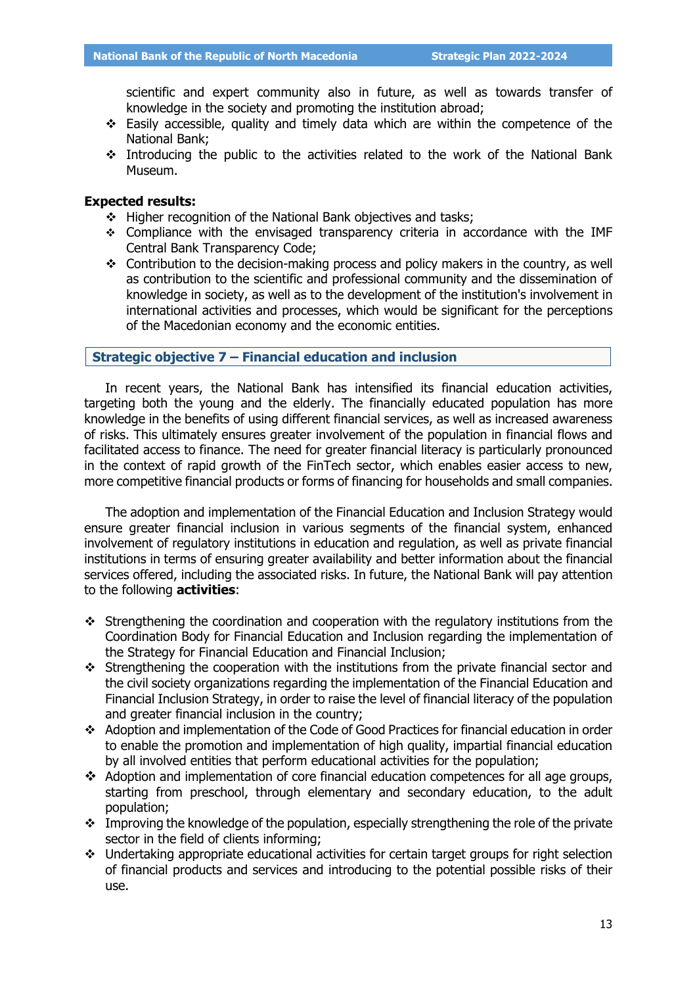scientific and expert community also in future, as well as towards transfer of knowledge in the society and promoting the institution abroad;

- $\div$  Easily accessible, quality and timely data which are within the competence of the National Bank;
- $\div$  Introducing the public to the activities related to the work of the National Bank Museum.

### **Expected results:**

- Higher recognition of the National Bank objectives and tasks;
- Compliance with the envisaged transparency criteria in accordance with the IMF Central Bank Transparency Code;
- Contribution to the decision-making process and policy makers in the country, as well as contribution to the scientific and professional community and the dissemination of knowledge in society, as well as to the development of the institution's involvement in international activities and processes, which would be significant for the perceptions of the Macedonian economy and the economic entities.

## <span id="page-14-0"></span>**Strategic objective 7 ‒ Financial education and inclusion**

In recent years, the National Bank has intensified its financial education activities, targeting both the young and the elderly. The financially educated population has more knowledge in the benefits of using different financial services, as well as increased awareness of risks. This ultimately ensures greater involvement of the population in financial flows and facilitated access to finance. The need for greater financial literacy is particularly pronounced in the context of rapid growth of the FinTech sector, which enables easier access to new, more competitive financial products or forms of financing for households and small companies.

The adoption and implementation of the Financial Education and Inclusion Strategy would ensure greater financial inclusion in various segments of the financial system, enhanced involvement of regulatory institutions in education and regulation, as well as private financial institutions in terms of ensuring greater availability and better information about the financial services offered, including the associated risks. In future, the National Bank will pay attention to the following **activities**:

- Strengthening the coordination and cooperation with the regulatory institutions from the Coordination Body for Financial Education and Inclusion regarding the implementation of the Strategy for Financial Education and Financial Inclusion;
- Strengthening the cooperation with the institutions from the private financial sector and the civil society organizations regarding the implementation of the Financial Education and Financial Inclusion Strategy, in order to raise the level of financial literacy of the population and greater financial inclusion in the country;
- Adoption and implementation of the Code of Good Practices for financial education in order to enable the promotion and implementation of high quality, impartial financial education by all involved entities that perform educational activities for the population;
- Adoption and implementation of core financial education competences for all age groups, starting from preschool, through elementary and secondary education, to the adult population;
- \* Improving the knowledge of the population, especially strengthening the role of the private sector in the field of clients informing;
- Undertaking appropriate educational activities for certain target groups for right selection of financial products and services and introducing to the potential possible risks of their use.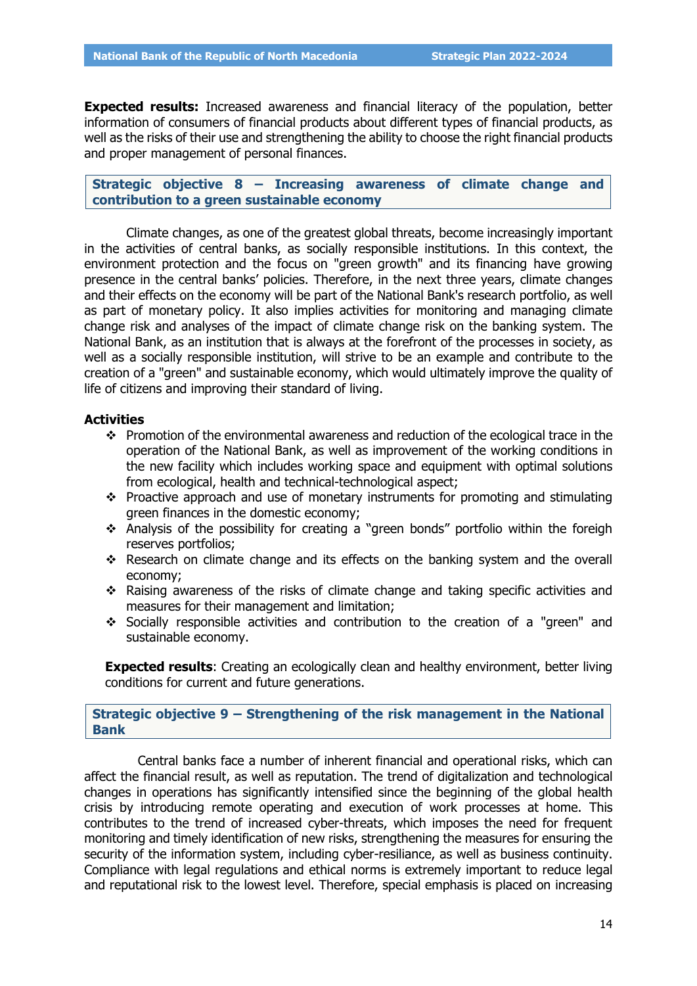**Expected results:** Increased awareness and financial literacy of the population, better information of consumers of financial products about different types of financial products, as well as the risks of their use and strengthening the ability to choose the right financial products and proper management of personal finances.

<span id="page-15-0"></span>**Strategic objective 8 ‒ Increasing awareness of climate change and contribution to a green sustainable economy**

Climate changes, as one of the greatest global threats, become increasingly important in the activities of central banks, as socially responsible institutions. In this context, the environment protection and the focus on "green growth" and its financing have growing presence in the central banks' policies. Therefore, in the next three years, climate changes and their effects on the economy will be part of the National Bank's research portfolio, as well as part of monetary policy. It also implies activities for monitoring and managing climate change risk and analyses of the impact of climate change risk on the banking system. The National Bank, as an institution that is always at the forefront of the processes in society, as well as a socially responsible institution, will strive to be an example and contribute to the creation of a "green" and sustainable economy, which would ultimately improve the quality of life of citizens and improving their standard of living.

#### **Activities**

- \* Promotion of the environmental awareness and reduction of the ecological trace in the operation of the National Bank, as well as improvement of the working conditions in the new facility which includes working space and equipment with optimal solutions from ecological, health and technical-technological aspect;
- $\cdot$  Proactive approach and use of monetary instruments for promoting and stimulating green finances in the domestic economy;
- Analysis of the possibility for creating a "green bonds" portfolio within the foreigh reserves portfolios;
- \* Research on climate change and its effects on the banking system and the overall economy;
- $\cdot$  Raising awareness of the risks of climate change and taking specific activities and measures for their management and limitation;
- Socially responsible activities and contribution to the creation of a "green" and sustainable economy.

**Expected results:** Creating an ecologically clean and healthy environment, better living conditions for current and future generations.

<span id="page-15-1"></span>**Strategic objective 9 ‒ Strengthening of the risk management in the National Bank**

Central banks face a number of inherent financial and operational risks, which can affect the financial result, as well as reputation. The trend of digitalization and technological changes in operations has significantly intensified since the beginning of the global health crisis by introducing remote operating and execution of work processes at home. This contributes to the trend of increased cyber-threats, which imposes the need for frequent monitoring and timely identification of new risks, strengthening the measures for ensuring the security of the information system, including cyber-resiliance, as well as business continuity. Compliance with legal regulations and ethical norms is extremely important to reduce legal and reputational risk to the lowest level. Therefore, special emphasis is placed on increasing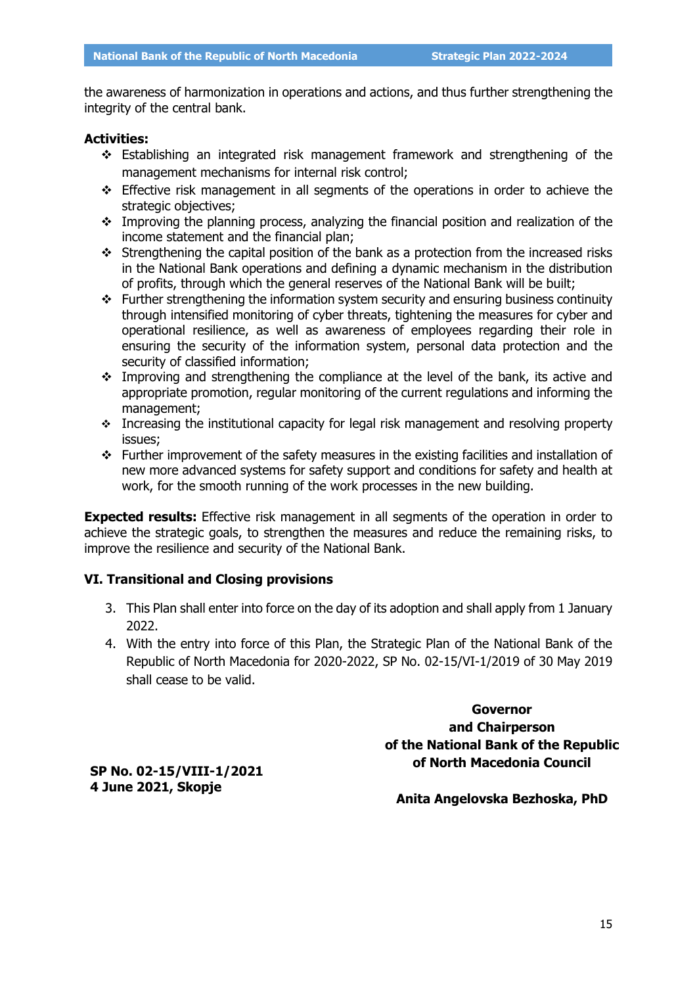the awareness of harmonization in operations and actions, and thus further strengthening the integrity of the central bank.

#### **Activities:**

- Establishing an integrated risk management framework and strengthening of the management mechanisms for internal risk control;
- Effective risk management in all segments of the operations in order to achieve the strategic objectives;
- Improving the planning process, analyzing the financial position and realization of the income statement and the financial plan;
- $\div$  Strengthening the capital position of the bank as a protection from the increased risks in the National Bank operations and defining a dynamic mechanism in the distribution of profits, through which the general reserves of the National Bank will be built;
- $\div$  Further strengthening the information system security and ensuring business continuity through intensified monitoring of cyber threats, tightening the measures for cyber and operational resilience, as well as awareness of employees regarding their role in ensuring the security of the information system, personal data protection and the security of classified information;
- $\cdot$  Improving and strengthening the compliance at the level of the bank, its active and appropriate promotion, regular monitoring of the current regulations and informing the management;
- Increasing the institutional capacity for legal risk management and resolving property issues;
- Further improvement of the safety measures in the existing facilities and installation of new more advanced systems for safety support and conditions for safety and health at work, for the smooth running of the work processes in the new building.

**Expected results:** Effective risk management in all segments of the operation in order to achieve the strategic goals, to strengthen the measures and reduce the remaining risks, to improve the resilience and security of the National Bank.

### **VI. Transitional and Closing provisions**

- 3. This Plan shall enter into force on the day of its adoption and shall apply from 1 January 2022.
- 4. With the entry into force of this Plan, the Strategic Plan of the National Bank of the Republic of North Macedonia for 2020-2022, SP No. 02-15/VI-1/2019 of 30 May 2019 shall cease to be valid.

**Governor and Chairperson of the National Bank of the Republic of North Macedonia Council** 

**SP No. 02-15/VIII-1/2021 4 June 2021, Skopje**

**Anita Angelovska Bezhoska, PhD**